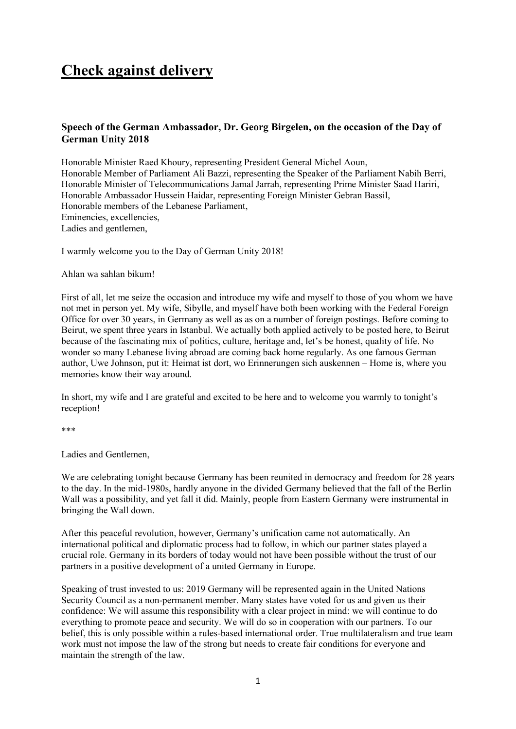## **Check against delivery**

## **Speech of the German Ambassador, Dr. Georg Birgelen, on the occasion of the Day of German Unity 2018**

Honorable Minister Raed Khoury, representing President General Michel Aoun, Honorable Member of Parliament Ali Bazzi, representing the Speaker of the Parliament Nabih Berri, Honorable Minister of Telecommunications Jamal Jarrah, representing Prime Minister Saad Hariri, Honorable Ambassador Hussein Haidar, representing Foreign Minister Gebran Bassil, Honorable members of the Lebanese Parliament, Eminencies, excellencies, Ladies and gentlemen,

I warmly welcome you to the Day of German Unity 2018!

Ahlan wa sahlan bikum!

First of all, let me seize the occasion and introduce my wife and myself to those of you whom we have not met in person yet. My wife, Sibylle, and myself have both been working with the Federal Foreign Office for over 30 years, in Germany as well as as on a number of foreign postings. Before coming to Beirut, we spent three years in Istanbul. We actually both applied actively to be posted here, to Beirut because of the fascinating mix of politics, culture, heritage and, let's be honest, quality of life. No wonder so many Lebanese living abroad are coming back home regularly. As one famous German author, Uwe Johnson, put it: Heimat ist dort, wo Erinnerungen sich auskennen – Home is, where you memories know their way around.

In short, my wife and I are grateful and excited to be here and to welcome you warmly to tonight's reception!

\*\*\*

Ladies and Gentlemen,

We are celebrating tonight because Germany has been reunited in democracy and freedom for 28 years to the day. In the mid-1980s, hardly anyone in the divided Germany believed that the fall of the Berlin Wall was a possibility, and yet fall it did. Mainly, people from Eastern Germany were instrumental in bringing the Wall down.

After this peaceful revolution, however, Germany's unification came not automatically. An international political and diplomatic process had to follow, in which our partner states played a crucial role. Germany in its borders of today would not have been possible without the trust of our partners in a positive development of a united Germany in Europe.

Speaking of trust invested to us: 2019 Germany will be represented again in the United Nations Security Council as a non-permanent member. Many states have voted for us and given us their confidence: We will assume this responsibility with a clear project in mind: we will continue to do everything to promote peace and security. We will do so in cooperation with our partners. To our belief, this is only possible within a rules-based international order. True multilateralism and true team work must not impose the law of the strong but needs to create fair conditions for everyone and maintain the strength of the law.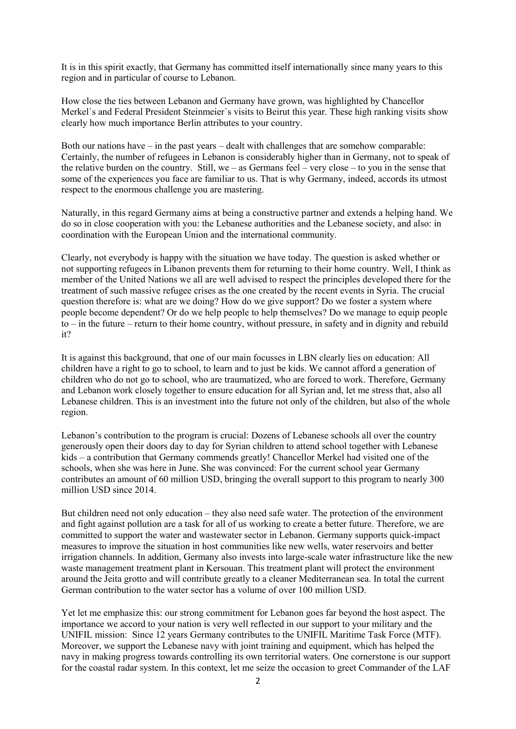It is in this spirit exactly, that Germany has committed itself internationally since many years to this region and in particular of course to Lebanon.

How close the ties between Lebanon and Germany have grown, was highlighted by Chancellor Merkel`s and Federal President Steinmeier`s visits to Beirut this year. These high ranking visits show clearly how much importance Berlin attributes to your country.

Both our nations have – in the past years – dealt with challenges that are somehow comparable: Certainly, the number of refugees in Lebanon is considerably higher than in Germany, not to speak of the relative burden on the country. Still, we – as Germans feel – very close – to you in the sense that some of the experiences you face are familiar to us. That is why Germany, indeed, accords its utmost respect to the enormous challenge you are mastering.

Naturally, in this regard Germany aims at being a constructive partner and extends a helping hand. We do so in close cooperation with you: the Lebanese authorities and the Lebanese society, and also: in coordination with the European Union and the international community.

Clearly, not everybody is happy with the situation we have today. The question is asked whether or not supporting refugees in Libanon prevents them for returning to their home country. Well, I think as member of the United Nations we all are well advised to respect the principles developed there for the treatment of such massive refugee crises as the one created by the recent events in Syria. The crucial question therefore is: what are we doing? How do we give support? Do we foster a system where people become dependent? Or do we help people to help themselves? Do we manage to equip people to – in the future – return to their home country, without pressure, in safety and in dignity and rebuild it?

It is against this background, that one of our main focusses in LBN clearly lies on education: All children have a right to go to school, to learn and to just be kids. We cannot afford a generation of children who do not go to school, who are traumatized, who are forced to work. Therefore, Germany and Lebanon work closely together to ensure education for all Syrian and, let me stress that, also all Lebanese children. This is an investment into the future not only of the children, but also of the whole region.

Lebanon's contribution to the program is crucial: Dozens of Lebanese schools all over the country generously open their doors day to day for Syrian children to attend school together with Lebanese kids – a contribution that Germany commends greatly! Chancellor Merkel had visited one of the schools, when she was here in June. She was convinced: For the current school year Germany contributes an amount of 60 million USD, bringing the overall support to this program to nearly 300 million USD since 2014.

But children need not only education – they also need safe water. The protection of the environment and fight against pollution are a task for all of us working to create a better future. Therefore, we are committed to support the water and wastewater sector in Lebanon. Germany supports quick-impact measures to improve the situation in host communities like new wells, water reservoirs and better irrigation channels. In addition, Germany also invests into large-scale water infrastructure like the new waste management treatment plant in Kersouan. This treatment plant will protect the environment around the Jeita grotto and will contribute greatly to a cleaner Mediterranean sea. In total the current German contribution to the water sector has a volume of over 100 million USD.

Yet let me emphasize this: our strong commitment for Lebanon goes far beyond the host aspect. The importance we accord to your nation is very well reflected in our support to your military and the UNIFIL mission: Since 12 years Germany contributes to the UNIFIL Maritime Task Force (MTF). Moreover, we support the Lebanese navy with joint training and equipment, which has helped the navy in making progress towards controlling its own territorial waters. One cornerstone is our support for the coastal radar system. In this context, let me seize the occasion to greet Commander of the LAF